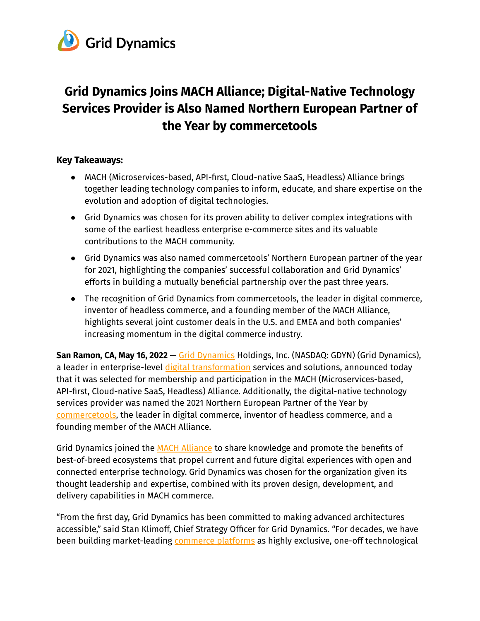

# **Grid Dynamics Joins MACH Alliance; Digital-Native Technology Services Provider is Also Named Northern European Partner of the Year by commercetools**

### **Key Takeaways:**

- MACH (Microservices-based, API-first, Cloud-native SaaS, Headless) Alliance brings together leading technology companies to inform, educate, and share expertise on the evolution and adoption of digital technologies.
- Grid Dynamics was chosen for its proven ability to deliver complex integrations with some of the earliest headless enterprise e-commerce sites and its valuable contributions to the MACH community.
- Grid Dynamics was also named commercetools' Northern European partner of the year for 2021, highlighting the companies' successful collaboration and Grid Dynamics' efforts in building a mutually beneficial partnership over the past three years.
- The recognition of Grid Dynamics from commercetools, the leader in digital commerce, inventor of headless commerce, and a founding member of the MACH Alliance, highlights several joint customer deals in the U.S. and EMEA and both companies' increasing momentum in the digital commerce industry.

**San Ramon, CA, May 16, 2022** — Grid [Dynamics](https://www.griddynamics.com/) Holdings, Inc. (NASDAQ: GDYN) (Grid Dynamics), a leader in enterprise-level digital [transformation](https://www.griddynamics.com/industries/retail-and-brands) services and solutions, announced today that it was selected for membership and participation in the MACH (Microservices-based, API-first, Cloud-native SaaS, Headless) Alliance. Additionally, the digital-native technology services provider was named the 2021 Northern European Partner of the Year by [commercetools](https://commercetools.com/), the leader in digital commerce, inventor of headless commerce, and a founding member of the MACH Alliance.

Grid Dynamics joined the MACH [Alliance](https://machalliance.org/) to share knowledge and promote the benefits of best-of-breed ecosystems that propel current and future digital experiences with open and connected enterprise technology. Grid Dynamics was chosen for the organization given its thought leadership and expertise, combined with its proven design, development, and delivery capabilities in MACH commerce.

"From the first day, Grid Dynamics has been committed to making advanced architectures accessible," said Stan Klimoff, Chief Strategy Officer for Grid Dynamics. "For decades, we have been building market-leading [commerce](https://www.griddynamics.com/industries/digital-commerce) platforms as highly exclusive, one-off technological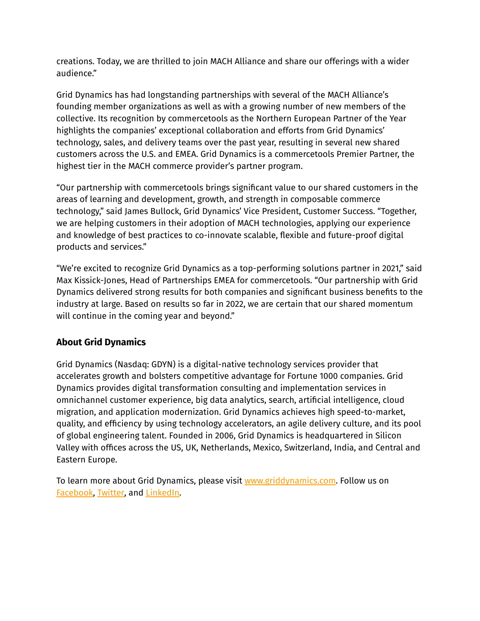creations. Today, we are thrilled to join MACH Alliance and share our offerings with a wider audience."

Grid Dynamics has had longstanding partnerships with several of the MACH Alliance's founding member organizations as well as with a growing number of new members of the collective. Its recognition by commercetools as the Northern European Partner of the Year highlights the companies' exceptional collaboration and efforts from Grid Dynamics' technology, sales, and delivery teams over the past year, resulting in several new shared customers across the U.S. and EMEA. Grid Dynamics is a commercetools Premier Partner, the highest tier in the MACH commerce provider's partner program.

"Our partnership with commercetools brings significant value to our shared customers in the areas of learning and development, growth, and strength in composable commerce technology," said James Bullock, Grid Dynamics' Vice President, Customer Success. "Together, we are helping customers in their adoption of MACH technologies, applying our experience and knowledge of best practices to co-innovate scalable, flexible and future-proof digital products and services."

"We're excited to recognize Grid Dynamics as a top-performing solutions partner in 2021," said Max Kissick-Jones, Head of Partnerships EMEA for commercetools. "Our partnership with Grid Dynamics delivered strong results for both companies and significant business benefits to the industry at large. Based on results so far in 2022, we are certain that our shared momentum will continue in the coming year and beyond."

## **About Grid Dynamics**

Grid Dynamics (Nasdaq: GDYN) is a digital-native technology services provider that accelerates growth and bolsters competitive advantage for Fortune 1000 companies. Grid Dynamics provides digital transformation consulting and implementation services in omnichannel customer experience, big data analytics, search, artificial intelligence, cloud migration, and application modernization. Grid Dynamics achieves high speed-to-market, quality, and efficiency by using technology accelerators, an agile delivery culture, and its pool of global engineering talent. Founded in 2006, Grid Dynamics is headquartered in Silicon Valley with offices across the US, UK, Netherlands, Mexico, Switzerland, India, and Central and Eastern Europe.

To learn more about Grid Dynamics, please visit [www.griddynamics.com](http://www.griddynamics.com). Follow us on [Facebook,](https://www.facebook.com/griddynamics) [Twitter,](https://twitter.com/griddynamics) and [LinkedIn.](https://www.linkedin.com/company/grid-dynamics/)